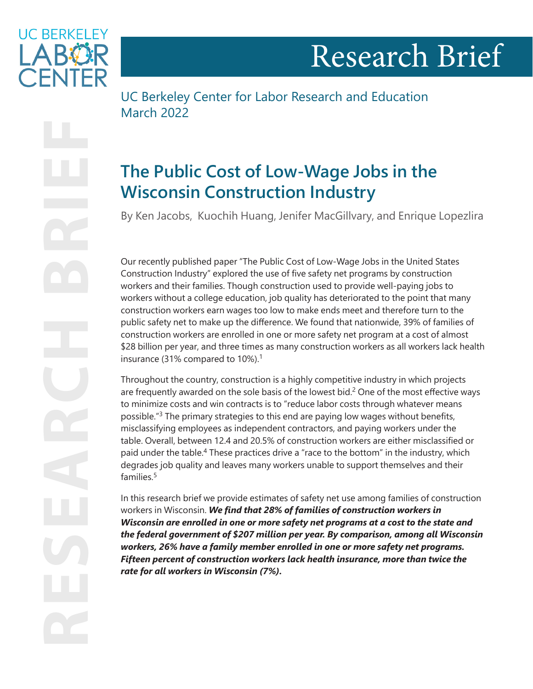

<span id="page-0-0"></span>**UC BERKELEY ARY** 

UC Berkeley Center for Labor Research and Education March 2022

# **The Public Cost of Low-Wage Jobs in the Wisconsin Construction Industry**

By Ken Jacobs, Kuochih Huang, Jenifer MacGillvary, and Enrique Lopezlira

Our recently published paper "The Public Cost of Low-Wage Jobs in the United States Construction Industry" explored the use of five safety net programs by construction workers and their families. Though construction used to provide well-paying jobs to workers without a college education, job quality has deteriorated to the point that many construction workers earn wages too low to make ends meet and therefore turn to the public safety net to make up the difference. We found that nationwide, 39% of families of construction workers are enrolled in one or more safety net program at a cost of almost \$28 billion per year, and three times as many construction workers as all workers lack health insurance (3[1](#page-4-0)% compared to 10%).<sup>1</sup>

Throughout the country, construction is a highly competitive industry in which projects are frequently awarded on the sole basis of the lowest bid.<sup>[2](#page-4-0)</sup> One of the most effective ways to minimize costs and win contracts is to "reduce labor costs through whatever means possible."[3](#page-4-0) The primary strategies to this end are paying low wages without benefits, misclassifying employees as independent contractors, and paying workers under the table. Overall, between 12.4 and 20.5% of construction workers are either misclassified or paid under the table.<sup>4</sup> These practices drive a "race to the bottom" in the industry, which degrades job quality and leaves many workers unable to support themselves and their families $5$ 

In this research brief we provide estimates of safety net use among families of construction workers in Wisconsin. *We find that 28% of families of construction workers in Wisconsin are enrolled in one or more safety net programs at a cost to the state and the federal government of \$207 million per year. By comparison, among all Wisconsin workers, 26% have a family member enrolled in one or more safety net programs. Fifteen percent of construction workers lack health insurance, more than twice the rate for all workers in Wisconsin (7%).*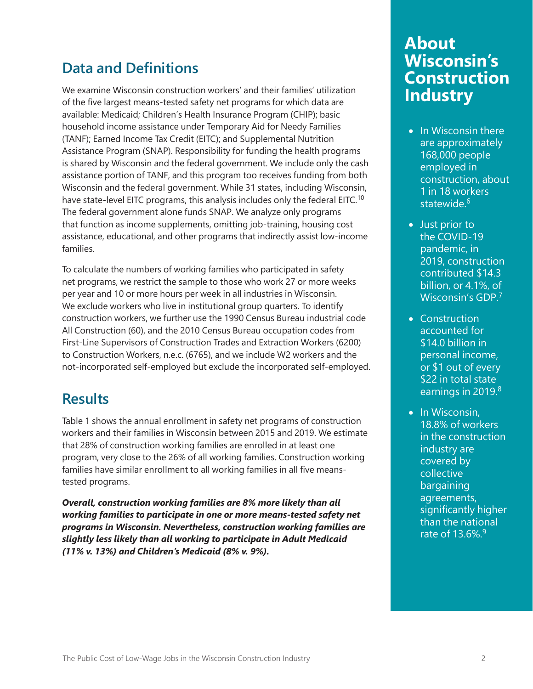### <span id="page-1-0"></span>**Data and Definitions**

We examine Wisconsin construction workers' and their families' utilization of the five largest means-tested safety net programs for which data are available: Medicaid; Children's Health Insurance Program (CHIP); basic household income assistance under Temporary Aid for Needy Families (TANF); Earned Income Tax Credit (EITC); and Supplemental Nutrition Assistance Program (SNAP). Responsibility for funding the health programs is shared by Wisconsin and the federal government. We include only the cash assistance portion of TANF, and this program too receives funding from both Wisconsin and the federal government. While 31 states, including Wisconsin, have state-level EITC programs, this analysis includes only the federal EITC.<sup>[10](#page-5-0)</sup> The federal government alone funds SNAP. We analyze only programs that function as income supplements, omitting job-training, housing cost assistance, educational, and other programs that indirectly assist low-income families.

To calculate the numbers of working families who participated in safety net programs, we restrict the sample to those who work 27 or more weeks per year and 10 or more hours per week in all industries in Wisconsin. We exclude workers who live in institutional group quarters. To identify construction workers, we further use the 1990 Census Bureau industrial code All Construction (60), and the 2010 Census Bureau occupation codes from First-Line Supervisors of Construction Trades and Extraction Workers (6200) to Construction Workers, n.e.c. (6765), and we include W2 workers and the not-incorporated self-employed but exclude the incorporated self-employed.

#### **Results**

Table 1 shows the annual enrollment in safety net programs of construction workers and their families in Wisconsin between 2015 and 2019. We estimate that 28% of construction working families are enrolled in at least one program, very close to the 26% of all working families. Construction working families have similar enrollment to all working families in all five meanstested programs.

*Overall, construction working families are 8% more likely than all working families to participate in one or more means-tested safety net programs in Wisconsin. Nevertheless, construction working families are slightly less likely than all working to participate in Adult Medicaid (11% v. 13%) and Children's Medicaid (8% v. 9%).*

## **About Wisconsin's Construction Industry**

- In Wisconsin there are approximately 168,000 people employed in construction, about 1 in 18 workers statewide.<sup>6</sup>
- Just prior to the COVID-19 pandemic, in 2019, construction contributed \$14.3 billion, or 4.1%, of Wisconsin's GDP.[7](#page-5-0)
- Construction accounted for \$14.0 billion in personal income, or \$1 out of every \$22 in total state earnings in 2019.<sup>[8](#page-5-0)</sup>
- In Wisconsin, 18.8% of workers in the construction industry are covered by collective bargaining agreements, significantly higher than the national rate of 13.6%.[9](#page-5-0)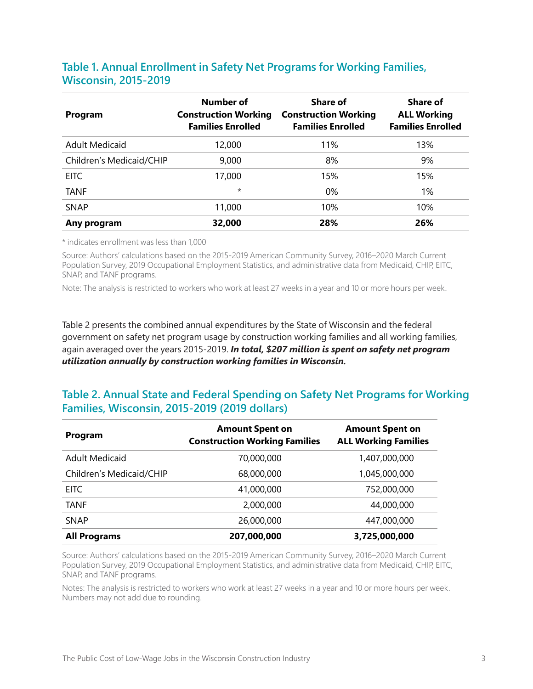#### **Table 1. Annual Enrollment in Safety Net Programs for Working Families, Wisconsin, 2015-2019**

| Program                  | Number of<br><b>Construction Working</b><br><b>Families Enrolled</b> | Share of<br><b>Construction Working</b><br><b>Families Enrolled</b> | <b>Share of</b><br><b>ALL Working</b><br><b>Families Enrolled</b> |
|--------------------------|----------------------------------------------------------------------|---------------------------------------------------------------------|-------------------------------------------------------------------|
| <b>Adult Medicaid</b>    | 12,000                                                               | 11%                                                                 | 13%                                                               |
| Children's Medicaid/CHIP | 9,000                                                                | 8%                                                                  | 9%                                                                |
| <b>EITC</b>              | 17,000                                                               | 15%                                                                 | 15%                                                               |
| TANF                     | $\star$                                                              | 0%                                                                  | 1%                                                                |
| <b>SNAP</b>              | 11,000                                                               | 10%                                                                 | 10%                                                               |
| Any program              | 32,000                                                               | 28%                                                                 | 26%                                                               |

\* indicates enrollment was less than 1,000

Source: Authors' calculations based on the 2015-2019 American Community Survey, 2016–2020 March Current Population Survey, 2019 Occupational Employment Statistics, and administrative data from Medicaid, CHIP, EITC, SNAP, and TANF programs.

Note: The analysis is restricted to workers who work at least 27 weeks in a year and 10 or more hours per week.

Table 2 presents the combined annual expenditures by the State of Wisconsin and the federal government on safety net program usage by construction working families and all working families, again averaged over the years 2015-2019. *In total, \$207 million is spent on safety net program utilization annually by construction working families in Wisconsin.*

#### **Table 2. Annual State and Federal Spending on Safety Net Programs for Working Families, Wisconsin, 2015-2019 (2019 dollars)**

| Program                  | <b>Amount Spent on</b><br><b>Construction Working Families</b> | <b>Amount Spent on</b><br><b>ALL Working Families</b> |
|--------------------------|----------------------------------------------------------------|-------------------------------------------------------|
| <b>Adult Medicaid</b>    | 70,000,000                                                     | 1,407,000,000                                         |
| Children's Medicaid/CHIP | 68,000,000                                                     | 1,045,000,000                                         |
| EITC                     | 41,000,000                                                     | 752,000,000                                           |
| <b>TANF</b>              | 2,000,000                                                      | 44,000,000                                            |
| <b>SNAP</b>              | 26,000,000                                                     | 447,000,000                                           |
| <b>All Programs</b>      | 207,000,000                                                    | 3,725,000,000                                         |

Source: Authors' calculations based on the 2015-2019 American Community Survey, 2016–2020 March Current Population Survey, 2019 Occupational Employment Statistics, and administrative data from Medicaid, CHIP, EITC, SNAP, and TANF programs.

Notes: The analysis is restricted to workers who work at least 27 weeks in a year and 10 or more hours per week. Numbers may not add due to rounding.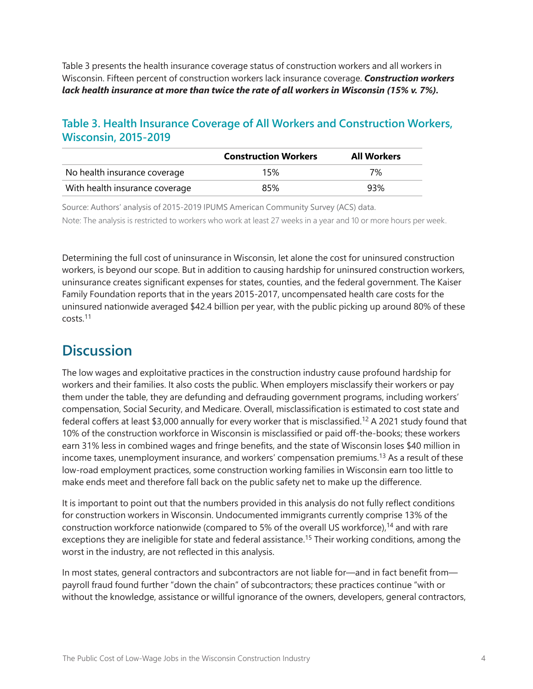<span id="page-3-0"></span>Table 3 presents the health insurance coverage status of construction workers and all workers in Wisconsin. Fifteen percent of construction workers lack insurance coverage. *Construction workers lack health insurance at more than twice the rate of all workers in Wisconsin (15% v. 7%).*

#### **Table 3. Health Insurance Coverage of All Workers and Construction Workers, Wisconsin, 2015-2019**

|                                | <b>Construction Workers</b> | <b>All Workers</b> |
|--------------------------------|-----------------------------|--------------------|
| No health insurance coverage   | 15%                         | 7%                 |
| With health insurance coverage | 85%                         | 93%                |

Source: Authors' analysis of 2015-2019 IPUMS American Community Survey (ACS) data. Note: The analysis is restricted to workers who work at least 27 weeks in a year and 10 or more hours per week.

Determining the full cost of uninsurance in Wisconsin, let alone the cost for uninsured construction workers, is beyond our scope. But in addition to causing hardship for uninsured construction workers, uninsurance creates significant expenses for states, counties, and the federal government. The Kaiser Family Foundation reports that in the years 2015-2017, uncompensated health care costs for the uninsured nationwide averaged \$42.4 billion per year, with the public picking up around 80% of these costs.[11](#page-5-0)

### **Discussion**

The low wages and exploitative practices in the construction industry cause profound hardship for workers and their families. It also costs the public. When employers misclassify their workers or pay them under the table, they are defunding and defrauding government programs, including workers' compensation, Social Security, and Medicare. Overall, misclassification is estimated to cost state and federal coffers at least \$3,000 annually for every worker that is misclassified.<sup>12</sup> A 2021 study found that 10% of the construction workforce in Wisconsin is misclassified or paid off-the-books; these workers earn 31% less in combined wages and fringe benefits, and the state of Wisconsin loses \$40 million in income taxes, unemployment insurance, and workers' compensation premiums.[13](#page-5-0) As a result of these low-road employment practices, some construction working families in Wisconsin earn too little to make ends meet and therefore fall back on the public safety net to make up the difference.

It is important to point out that the numbers provided in this analysis do not fully reflect conditions for construction workers in Wisconsin. Undocumented immigrants currently comprise 13% of the construction workforce nationwide (compared to 5% of the overall US workforce),<sup>14</sup> and with rare exceptions they are ineligible for state and federal assistance.<sup>[15](#page-5-0)</sup> Their working conditions, among the worst in the industry, are not reflected in this analysis.

In most states, general contractors and subcontractors are not liable for—and in fact benefit from payroll fraud found further "down the chain" of subcontractors; these practices continue "with or without the knowledge, assistance or willful ignorance of the owners, developers, general contractors,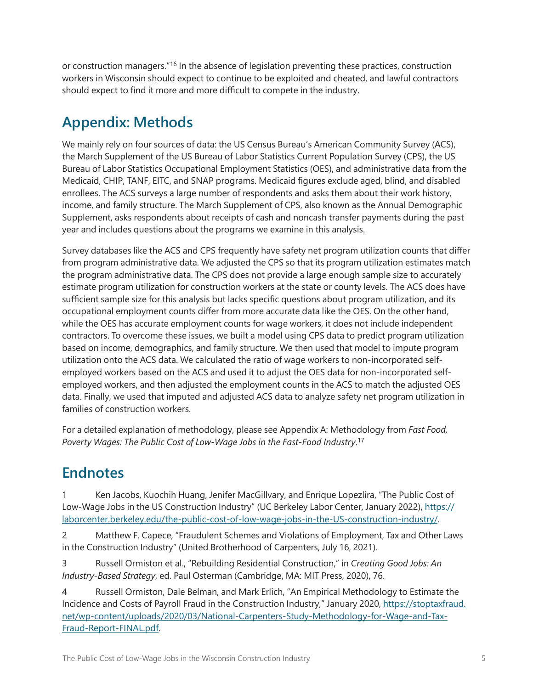<span id="page-4-0"></span>or construction managers.<sup>["16](#page-5-0)</sup> In the absence of legislation preventing these practices, construction workers in Wisconsin should expect to continue to be exploited and cheated, and lawful contractors should expect to find it more and more difficult to compete in the industry.

# **Appendix: Methods**

We mainly rely on four sources of data: the US Census Bureau's American Community Survey (ACS), the March Supplement of the US Bureau of Labor Statistics Current Population Survey (CPS), the US Bureau of Labor Statistics Occupational Employment Statistics (OES), and administrative data from the Medicaid, CHIP, TANF, EITC, and SNAP programs. Medicaid figures exclude aged, blind, and disabled enrollees. The ACS surveys a large number of respondents and asks them about their work history, income, and family structure. The March Supplement of CPS, also known as the Annual Demographic Supplement, asks respondents about receipts of cash and noncash transfer payments during the past year and includes questions about the programs we examine in this analysis.

Survey databases like the ACS and CPS frequently have safety net program utilization counts that differ from program administrative data. We adjusted the CPS so that its program utilization estimates match the program administrative data. The CPS does not provide a large enough sample size to accurately estimate program utilization for construction workers at the state or county levels. The ACS does have sufficient sample size for this analysis but lacks specific questions about program utilization, and its occupational employment counts differ from more accurate data like the OES. On the other hand, while the OES has accurate employment counts for wage workers, it does not include independent contractors. To overcome these issues, we built a model using CPS data to predict program utilization based on income, demographics, and family structure. We then used that model to impute program utilization onto the ACS data. We calculated the ratio of wage workers to non-incorporated selfemployed workers based on the ACS and used it to adjust the OES data for non-incorporated selfemployed workers, and then adjusted the employment counts in the ACS to match the adjusted OES data. Finally, we used that imputed and adjusted ACS data to analyze safety net program utilization in families of construction workers.

For a detailed explanation of methodology, please see Appendix A: Methodology from *Fast Food, Poverty Wages: The Public Cost of Low-Wage Jobs in the Fast-Food Industry*. [17](#page-5-0)

## **Endnotes**

[1](#page-0-0) Ken Jacobs, Kuochih Huang, Jenifer MacGillvary, and Enrique Lopezlira, "The Public Cost of Low-Wage Jobs in the US Construction Industry" (UC Berkeley Labor Center, January 2022), [https://](https://laborcenter.berkeley.edu/the-public-cost-of-low-wage-jobs-in-the-US-construction-industry/) [laborcenter.berkeley.edu/the-public-cost-of-low-wage-jobs-in-the-US-construction-industry/.](https://laborcenter.berkeley.edu/the-public-cost-of-low-wage-jobs-in-the-US-construction-industry/)

[2](#page-0-0) Matthew F. Capece, "Fraudulent Schemes and Violations of Employment, Tax and Other Laws in the Construction Industry" (United Brotherhood of Carpenters, July 16, 2021).

[3](#page-0-0) Russell Ormiston et al., "Rebuilding Residential Construction," in *Creating Good Jobs: An Industry-Based Strategy*, ed. Paul Osterman (Cambridge, MA: MIT Press, 2020), 76.

[4](#page-0-0) Russell Ormiston, Dale Belman, and Mark Erlich, "An Empirical Methodology to Estimate the Incidence and Costs of Payroll Fraud in the Construction Industry," January 2020, [https://stoptaxfraud.](https://stoptaxfraud.net/wp-content/uploads/2020/03/National-Carpenters-Study-Methodology-for-Wage-and-Tax-Fraud-Report-FINAL.pdf) [net/wp-content/uploads/2020/03/National-Carpenters-Study-Methodology-for-Wage-and-Tax-](https://stoptaxfraud.net/wp-content/uploads/2020/03/National-Carpenters-Study-Methodology-for-Wage-and-Tax-Fraud-Report-FINAL.pdf)[Fraud-Report-FINAL.pdf](https://stoptaxfraud.net/wp-content/uploads/2020/03/National-Carpenters-Study-Methodology-for-Wage-and-Tax-Fraud-Report-FINAL.pdf).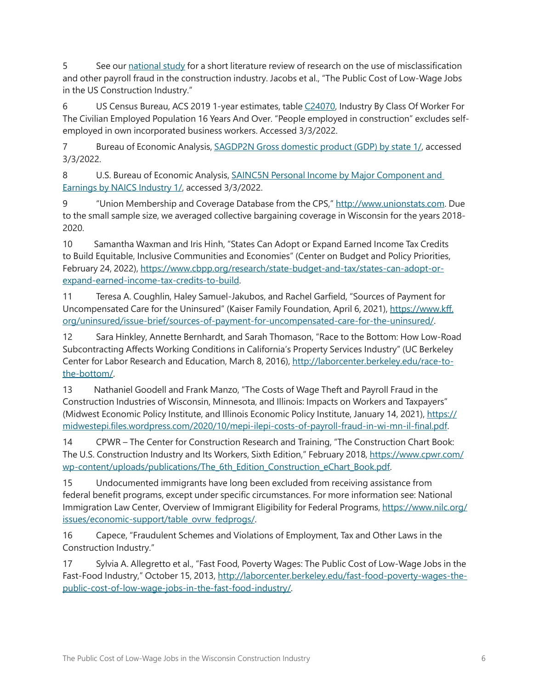<span id="page-5-0"></span>[5](#page-0-0) See our [national study](https://laborcenter.berkeley.edu/the-public-cost-of-low-wage-jobs-in-the-US-construction-industry/) for a short literature review of research on the use of misclassification and other payroll fraud in the construction industry. Jacobs et al., "The Public Cost of Low-Wage Jobs in the US Construction Industry."

[6](#page-1-0) US Census Bureau, ACS 2019 1-year estimates, table [C24070](https://data.census.gov/cedsci/table?q=INDUSTRY%20BY%20CLASS%20OF%20WORKER%20FOR%20THE%20CIVILIAN%20EMPLOYED%20POPULATION%2016%20YEARS%20AND%20OVER&g=0400000US55&tid=ACSDT1Y2019.C24070), Industry By Class Of Worker For The Civilian Employed Population 16 Years And Over. "People employed in construction" excludes selfemployed in own incorporated business workers. Accessed 3/3/2022.

[7](#page-1-0) Bureau of Economic Analysis, [SAGDP2N Gross domestic product \(GDP\) by state 1/](https://apps.bea.gov/iTable/iTable.cfm?reqid=70&step=30&isuri=1&year_end=-1&acrdn=1&classification=naics&state=0&yearbegin=-1&unit_of_measure=levels&major_area=0&area=01000,02000,04000,05000,06000,08000,09000,10000,11000,12000,13000,15000,16000,17000,18000,19000,20000,21000,22000,23000,24000,25000,26000,27000,28000,29000,30000,31000,32000,33000,34000,35000,36000,37000,38000,39000,40000,41000,42000,44000,45000,46000,47000,48000,49000,50000,51000,53000,54000,55000,56000&year=2019&tableid=505&category=1505&area_type=0&statistic=1,11), accessed 3/3/2022.

[8](#page-1-0) U.S. Bureau of Economic Analysis, **SAINC5N Personal Income by Major Component and** [Earnings by NAICS Industry 1/](https://apps.bea.gov/iTable/iTable.cfm?reqid=70&step=30&isuri=1&major_area=0&area=01000,02000,04000,05000,06000,08000,09000,10000,11000,12000,13000,15000,16000,17000,18000,19000,20000,21000,22000,23000,24000,25000,26000,27000,28000,29000,30000,31000,32000,33000,34000,35000,36000,37000,38000,39000,40000,41000,42000,44000,45000,46000,47000,48000,49000,50000,51000,53000,54000,55000,56000&year=2019&tableid=28&category=428&area_type=0&year_end=-1&classification=naics&state=0&statistic=10,400&yearbegin=-1&unit_of_measure=levels), accessed 3/3/2022.

[9](#page-1-0) "Union Membership and Coverage Database from the CPS," [http://www.unionstats.com.](http://www.unionstats.com) Due to the small sample size, we averaged collective bargaining coverage in Wisconsin for the years 2018- 2020.

[10](#page-1-0) Samantha Waxman and Iris Hinh, "States Can Adopt or Expand Earned Income Tax Credits to Build Equitable, Inclusive Communities and Economies" (Center on Budget and Policy Priorities, February 24, 2022), [https://www.cbpp.org/research/state-budget-and-tax/states-can-adopt-or](https://www.cbpp.org/research/state-budget-and-tax/states-can-adopt-or-expand-earned-income-tax-credits-to-build)[expand-earned-income-tax-credits-to-build.](https://www.cbpp.org/research/state-budget-and-tax/states-can-adopt-or-expand-earned-income-tax-credits-to-build)

[11](#page-3-0) Teresa A. Coughlin, Haley Samuel-Jakubos, and Rachel Garfield, "Sources of Payment for Uncompensated Care for the Uninsured" (Kaiser Family Foundation, April 6, 2021), [https://www.kff.](https://www.kff.org/uninsured/issue-brief/sources-of-payment-for-uncompensated-care-for-the-uninsured/) [org/uninsured/issue-brief/sources-of-payment-for-uncompensated-care-for-the-uninsured/](https://www.kff.org/uninsured/issue-brief/sources-of-payment-for-uncompensated-care-for-the-uninsured/).

[12](#page-3-0) Sara Hinkley, Annette Bernhardt, and Sarah Thomason, "Race to the Bottom: How Low‐Road Subcontracting Affects Working Conditions in California's Property Services Industry" (UC Berkeley Center for Labor Research and Education, March 8, 2016), [http://laborcenter.berkeley.edu/race-to](http://laborcenter.berkeley.edu/race-to-the-bottom/)[the-bottom/.](http://laborcenter.berkeley.edu/race-to-the-bottom/)

[13](#page-3-0) Nathaniel Goodell and Frank Manzo, "The Costs of Wage Theft and Payroll Fraud in the Construction Industries of Wisconsin, Minnesota, and Illinois: Impacts on Workers and Taxpayers" (Midwest Economic Policy Institute, and Illinois Economic Policy Institute, January 14, 2021), [https://](https://midwestepi.files.wordpress.com/2020/10/mepi-ilepi-costs-of-payroll-fraud-in-wi-mn-il-final.pdf) [midwestepi.files.wordpress.com/2020/10/mepi-ilepi-costs-of-payroll-fraud-in-wi-mn-il-final.pdf.](https://midwestepi.files.wordpress.com/2020/10/mepi-ilepi-costs-of-payroll-fraud-in-wi-mn-il-final.pdf)

[14](#page-3-0) CPWR – The Center for Construction Research and Training, "The Construction Chart Book: The U.S. Construction Industry and Its Workers, Sixth Edition," February 2018, [https://www.cpwr.com/](https://www.cpwr.com/wp-content/uploads/publications/The_6th_Edition_Construction_eChart_Book.pdf) [wp-content/uploads/publications/The\\_6th\\_Edition\\_Construction\\_eChart\\_Book.pdf](https://www.cpwr.com/wp-content/uploads/publications/The_6th_Edition_Construction_eChart_Book.pdf).

[15](#page-3-0) Undocumented immigrants have long been excluded from receiving assistance from federal benefit programs, except under specific circumstances. For more information see: National Immigration Law Center, Overview of Immigrant Eligibility for Federal Programs, [https://www.nilc.org/](https://www.nilc.org/issues/economic-support/table_ovrw_fedprogs/) [issues/economic-support/table\\_ovrw\\_fedprogs/.](https://www.nilc.org/issues/economic-support/table_ovrw_fedprogs/)

[16](#page-4-0) Capece, "Fraudulent Schemes and Violations of Employment, Tax and Other Laws in the Construction Industry."

[17](#page-4-0) Sylvia A. Allegretto et al., "Fast Food, Poverty Wages: The Public Cost of Low-Wage Jobs in the Fast-Food Industry," October 15, 2013, [http://laborcenter.berkeley.edu/fast-food-poverty-wages-the](http://laborcenter.berkeley.edu/fast-food-poverty-wages-the-public-cost-of-low-wage-jobs-in-the-fast-food-industry/)[public-cost-of-low-wage-jobs-in-the-fast-food-industry/](http://laborcenter.berkeley.edu/fast-food-poverty-wages-the-public-cost-of-low-wage-jobs-in-the-fast-food-industry/).